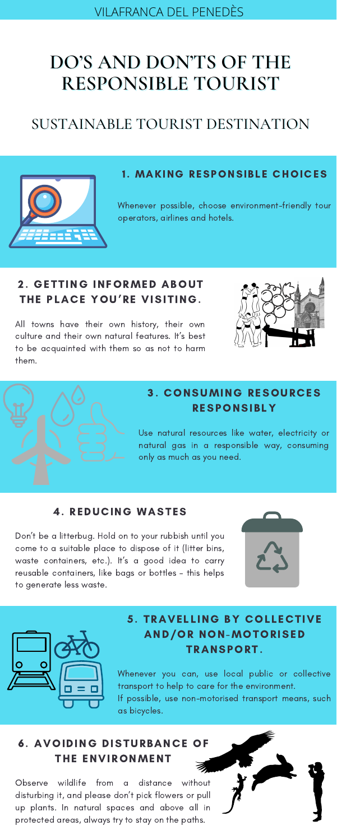Use natural resources like water, electricity or natural gas in a responsible way, consuming only as much as you need.

### 5. TRAVELLING BY COLLECTIVE AND/OR NON-MOTORISED TRANSPORT.

# **DO'S AND DON'TS OF THE RESPONSIBLE TOURIST**

# SUSTAINABLE TOURIST DESTINATION



#### 1. MAKING RESPONSIBLE CHOICES

### 2. GETTING INFORMED ABOUT THE PLACE YOU'RE VISITING.

Whenever you can, use local public or collective transport to help to care for the environment. If possible, use non-motorised transport means, such as bicycles.

All towns have their own history, their own culture and their own natural features. It's best to be acquainted with them so as not to harm them.





### 3. CONSUMING RESOURCES **RESPONSIBLY**

Whenever possible, choose environment-friendly tour operators, airlines and hotels.

#### 4. REDUCING WASTES

Don't be a litterbug. Hold on to your rubbish until you come to a suitable place to dispose of it (litter bins, waste containers, etc.). It's a good idea to carry reusable containers, like bags or bottles – this helps to generate less waste.





## 6. AVOIDING DISTURBANCE OF THE ENVIRONMENT

Observe wildlife from a distance without disturbing it, and please don't pick flowers or pull up plants. In natural spaces and above all in protected areas, always try to stay on the paths.